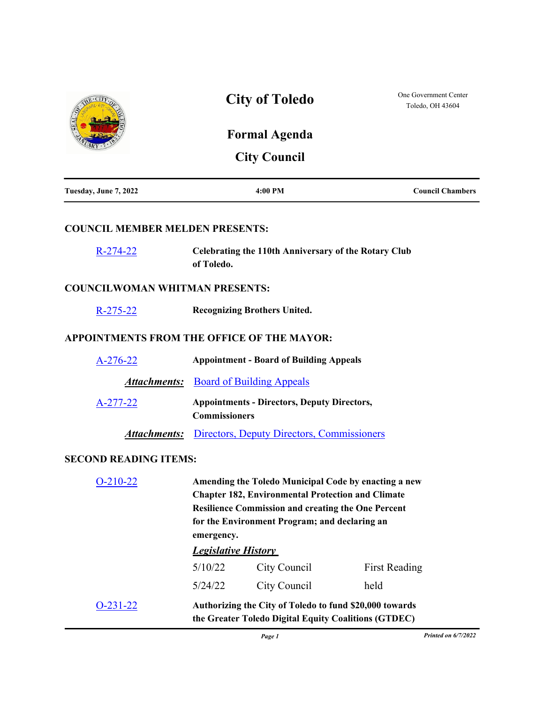|                                            | <b>City of Toledo</b>                                                                                                                                                                                                                        |                                                                                                                 | One Government Center<br>Toledo, OH 43604 |
|--------------------------------------------|----------------------------------------------------------------------------------------------------------------------------------------------------------------------------------------------------------------------------------------------|-----------------------------------------------------------------------------------------------------------------|-------------------------------------------|
|                                            |                                                                                                                                                                                                                                              | <b>Formal Agenda</b>                                                                                            |                                           |
|                                            |                                                                                                                                                                                                                                              | <b>City Council</b>                                                                                             |                                           |
| Tuesday, June 7, 2022                      |                                                                                                                                                                                                                                              | 4:00 PM                                                                                                         | <b>Council Chambers</b>                   |
| <b>COUNCIL MEMBER MELDEN PRESENTS:</b>     |                                                                                                                                                                                                                                              |                                                                                                                 |                                           |
| $R-274-22$                                 | of Toledo.                                                                                                                                                                                                                                   | <b>Celebrating the 110th Anniversary of the Rotary Club</b>                                                     |                                           |
| <b>COUNCILWOMAN WHITMAN PRESENTS:</b>      |                                                                                                                                                                                                                                              |                                                                                                                 |                                           |
| $R-275-22$                                 |                                                                                                                                                                                                                                              | <b>Recognizing Brothers United.</b>                                                                             |                                           |
| APPOINTMENTS FROM THE OFFICE OF THE MAYOR: |                                                                                                                                                                                                                                              |                                                                                                                 |                                           |
| A-276-22                                   | <b>Appointment - Board of Building Appeals</b>                                                                                                                                                                                               |                                                                                                                 |                                           |
| Attachments:                               |                                                                                                                                                                                                                                              | <b>Board of Building Appeals</b>                                                                                |                                           |
| A-277-22                                   | <b>Appointments - Directors, Deputy Directors,</b><br><b>Commissioners</b>                                                                                                                                                                   |                                                                                                                 |                                           |
| <b>Attachments:</b>                        | Directors, Deputy Directors, Commissioners                                                                                                                                                                                                   |                                                                                                                 |                                           |
| <b>SECOND READING ITEMS:</b>               |                                                                                                                                                                                                                                              |                                                                                                                 |                                           |
| $O-210-22$                                 | Amending the Toledo Municipal Code by enacting a new<br><b>Chapter 182, Environmental Protection and Climate</b><br><b>Resilience Commission and creating the One Percent</b><br>for the Environment Program; and declaring an<br>emergency. |                                                                                                                 |                                           |
|                                            | <b>Legislative History</b>                                                                                                                                                                                                                   |                                                                                                                 |                                           |
|                                            | 5/10/22                                                                                                                                                                                                                                      | City Council                                                                                                    | <b>First Reading</b>                      |
|                                            | 5/24/22                                                                                                                                                                                                                                      | City Council                                                                                                    | held                                      |
| $O-231-22$                                 |                                                                                                                                                                                                                                              | Authorizing the City of Toledo to fund \$20,000 towards<br>the Greater Toledo Digital Equity Coalitions (GTDEC) |                                           |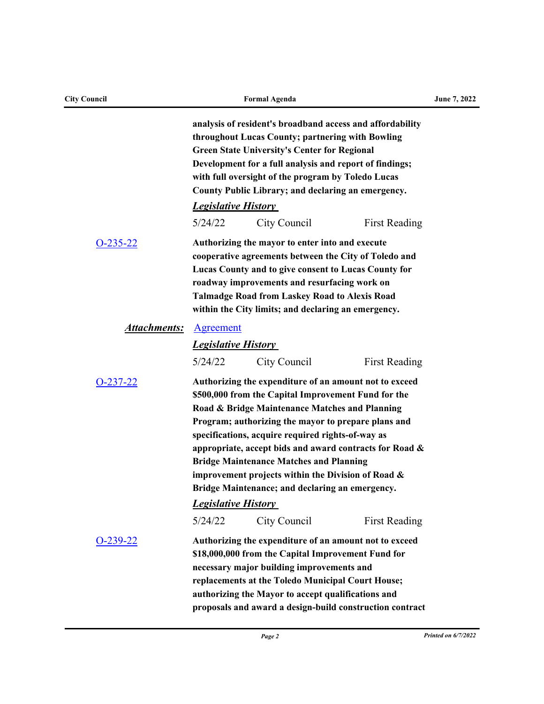| <b>City Council</b> |                                                                                                                                                                                                                                                                                                                                                                                                                                                                                                                                 | <b>Formal Agenda</b>                                                                                                                                                                                                                                                                                                             |                      | June 7, 2022 |
|---------------------|---------------------------------------------------------------------------------------------------------------------------------------------------------------------------------------------------------------------------------------------------------------------------------------------------------------------------------------------------------------------------------------------------------------------------------------------------------------------------------------------------------------------------------|----------------------------------------------------------------------------------------------------------------------------------------------------------------------------------------------------------------------------------------------------------------------------------------------------------------------------------|----------------------|--------------|
|                     | analysis of resident's broadband access and affordability<br>throughout Lucas County; partnering with Bowling<br><b>Green State University's Center for Regional</b><br>Development for a full analysis and report of findings;<br>with full oversight of the program by Toledo Lucas<br>County Public Library; and declaring an emergency.                                                                                                                                                                                     |                                                                                                                                                                                                                                                                                                                                  |                      |              |
|                     | <b>Legislative History</b>                                                                                                                                                                                                                                                                                                                                                                                                                                                                                                      |                                                                                                                                                                                                                                                                                                                                  |                      |              |
|                     | 5/24/22                                                                                                                                                                                                                                                                                                                                                                                                                                                                                                                         | City Council                                                                                                                                                                                                                                                                                                                     | <b>First Reading</b> |              |
| $O-235-22$          |                                                                                                                                                                                                                                                                                                                                                                                                                                                                                                                                 | Authorizing the mayor to enter into and execute<br>cooperative agreements between the City of Toledo and<br>Lucas County and to give consent to Lucas County for<br>roadway improvements and resurfacing work on<br><b>Talmadge Road from Laskey Road to Alexis Road</b><br>within the City limits; and declaring an emergency.  |                      |              |
| Attachments:        | Agreement                                                                                                                                                                                                                                                                                                                                                                                                                                                                                                                       |                                                                                                                                                                                                                                                                                                                                  |                      |              |
|                     | <b>Legislative History</b>                                                                                                                                                                                                                                                                                                                                                                                                                                                                                                      |                                                                                                                                                                                                                                                                                                                                  |                      |              |
|                     | 5/24/22                                                                                                                                                                                                                                                                                                                                                                                                                                                                                                                         | City Council                                                                                                                                                                                                                                                                                                                     | <b>First Reading</b> |              |
| <u>O-237-22</u>     | Authorizing the expenditure of an amount not to exceed<br>\$500,000 from the Capital Improvement Fund for the<br>Road & Bridge Maintenance Matches and Planning<br>Program; authorizing the mayor to prepare plans and<br>specifications, acquire required rights-of-way as<br>appropriate, accept bids and award contracts for Road &<br><b>Bridge Maintenance Matches and Planning</b><br>improvement projects within the Division of Road &<br>Bridge Maintenance; and declaring an emergency.<br><b>Legislative History</b> |                                                                                                                                                                                                                                                                                                                                  |                      |              |
|                     | 5/24/22                                                                                                                                                                                                                                                                                                                                                                                                                                                                                                                         | City Council                                                                                                                                                                                                                                                                                                                     | <b>First Reading</b> |              |
| $O-239-22$          |                                                                                                                                                                                                                                                                                                                                                                                                                                                                                                                                 | Authorizing the expenditure of an amount not to exceed<br>\$18,000,000 from the Capital Improvement Fund for<br>necessary major building improvements and<br>replacements at the Toledo Municipal Court House;<br>authorizing the Mayor to accept qualifications and<br>proposals and award a design-build construction contract |                      |              |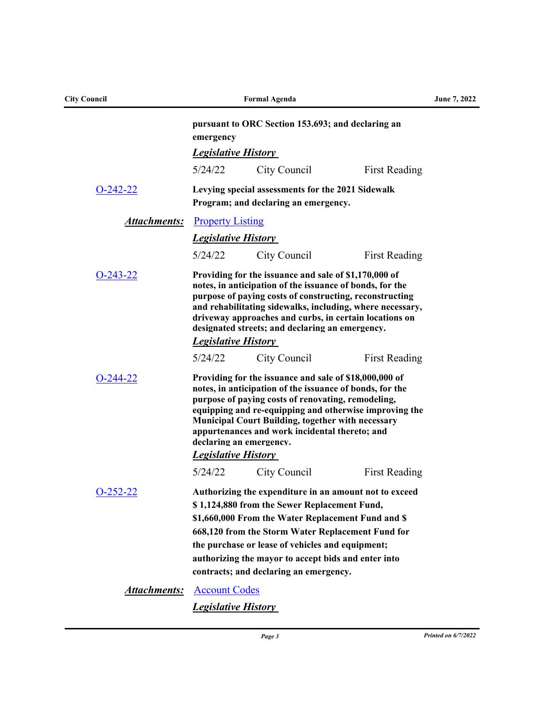| <b>City Council</b> |                                                                                                                                                                                                                                                                                                                                                                                                           | <b>Formal Agenda</b>                                                                                                                                                                                                                                                                                                                                                   |                      | June 7, 2022 |
|---------------------|-----------------------------------------------------------------------------------------------------------------------------------------------------------------------------------------------------------------------------------------------------------------------------------------------------------------------------------------------------------------------------------------------------------|------------------------------------------------------------------------------------------------------------------------------------------------------------------------------------------------------------------------------------------------------------------------------------------------------------------------------------------------------------------------|----------------------|--------------|
|                     | emergency                                                                                                                                                                                                                                                                                                                                                                                                 | pursuant to ORC Section 153.693; and declaring an                                                                                                                                                                                                                                                                                                                      |                      |              |
|                     | <b>Legislative History</b>                                                                                                                                                                                                                                                                                                                                                                                |                                                                                                                                                                                                                                                                                                                                                                        |                      |              |
|                     | 5/24/22                                                                                                                                                                                                                                                                                                                                                                                                   | City Council                                                                                                                                                                                                                                                                                                                                                           | <b>First Reading</b> |              |
| $O-242-22$          |                                                                                                                                                                                                                                                                                                                                                                                                           | Levying special assessments for the 2021 Sidewalk<br>Program; and declaring an emergency.                                                                                                                                                                                                                                                                              |                      |              |
| <b>Attachments:</b> | <b>Property Listing</b>                                                                                                                                                                                                                                                                                                                                                                                   |                                                                                                                                                                                                                                                                                                                                                                        |                      |              |
|                     | <b>Legislative History</b>                                                                                                                                                                                                                                                                                                                                                                                |                                                                                                                                                                                                                                                                                                                                                                        |                      |              |
|                     | 5/24/22                                                                                                                                                                                                                                                                                                                                                                                                   | City Council                                                                                                                                                                                                                                                                                                                                                           | <b>First Reading</b> |              |
| $O-243-22$          | <b>Legislative History</b>                                                                                                                                                                                                                                                                                                                                                                                | Providing for the issuance and sale of \$1,170,000 of<br>notes, in anticipation of the issuance of bonds, for the<br>purpose of paying costs of constructing, reconstructing<br>and rehabilitating sidewalks, including, where necessary,<br>driveway approaches and curbs, in certain locations on<br>designated streets; and declaring an emergency.                 |                      |              |
|                     | 5/24/22                                                                                                                                                                                                                                                                                                                                                                                                   | City Council                                                                                                                                                                                                                                                                                                                                                           | <b>First Reading</b> |              |
| $O-244-22$          | Providing for the issuance and sale of \$18,000,000 of<br>notes, in anticipation of the issuance of bonds, for the<br>purpose of paying costs of renovating, remodeling,<br>equipping and re-equipping and otherwise improving the<br><b>Municipal Court Building, together with necessary</b><br>appurtenances and work incidental thereto; and<br>declaring an emergency.<br><b>Legislative History</b> |                                                                                                                                                                                                                                                                                                                                                                        |                      |              |
|                     | 5/24/22                                                                                                                                                                                                                                                                                                                                                                                                   | City Council                                                                                                                                                                                                                                                                                                                                                           | <b>First Reading</b> |              |
| $O-252-22$          |                                                                                                                                                                                                                                                                                                                                                                                                           | Authorizing the expenditure in an amount not to exceed<br>\$1,124,880 from the Sewer Replacement Fund,<br>\$1,660,000 From the Water Replacement Fund and \$<br>668,120 from the Storm Water Replacement Fund for<br>the purchase or lease of vehicles and equipment;<br>authorizing the mayor to accept bids and enter into<br>contracts; and declaring an emergency. |                      |              |
| <u>Attachments:</u> | <b>Account Codes</b>                                                                                                                                                                                                                                                                                                                                                                                      |                                                                                                                                                                                                                                                                                                                                                                        |                      |              |
|                     | <b>Legislative History</b>                                                                                                                                                                                                                                                                                                                                                                                |                                                                                                                                                                                                                                                                                                                                                                        |                      |              |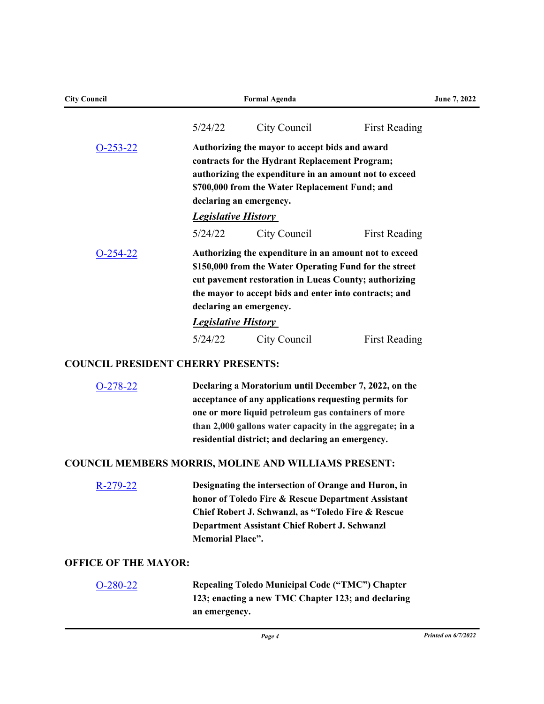| <b>City Council</b>                                         |                                       | <b>Formal Agenda</b>                                                                                                                                                                                                                                                                   |                      | June 7, 2022 |
|-------------------------------------------------------------|---------------------------------------|----------------------------------------------------------------------------------------------------------------------------------------------------------------------------------------------------------------------------------------------------------------------------------------|----------------------|--------------|
|                                                             | 5/24/22                               | City Council                                                                                                                                                                                                                                                                           | <b>First Reading</b> |              |
| $O-253-22$                                                  |                                       | Authorizing the mayor to accept bids and award<br>contracts for the Hydrant Replacement Program;<br>authorizing the expenditure in an amount not to exceed<br>\$700,000 from the Water Replacement Fund; and<br>declaring an emergency.                                                |                      |              |
|                                                             | <b>Legislative History</b><br>5/24/22 | City Council                                                                                                                                                                                                                                                                           | <b>First Reading</b> |              |
| $O-254-22$                                                  |                                       | Authorizing the expenditure in an amount not to exceed<br>\$150,000 from the Water Operating Fund for the street<br>cut pavement restoration in Lucas County; authorizing<br>the mayor to accept bids and enter into contracts; and<br>declaring an emergency.                         |                      |              |
|                                                             | <b>Legislative History</b>            |                                                                                                                                                                                                                                                                                        |                      |              |
|                                                             | 5/24/22                               | City Council                                                                                                                                                                                                                                                                           | <b>First Reading</b> |              |
| <b>COUNCIL PRESIDENT CHERRY PRESENTS:</b>                   |                                       |                                                                                                                                                                                                                                                                                        |                      |              |
| $O-278-22$                                                  |                                       | Declaring a Moratorium until December 7, 2022, on the<br>acceptance of any applications requesting permits for<br>one or more liquid petroleum gas containers of more<br>than 2,000 gallons water capacity in the aggregate; in a<br>residential district; and declaring an emergency. |                      |              |
| <b>COUNCIL MEMBERS MORRIS, MOLINE AND WILLIAMS PRESENT:</b> |                                       |                                                                                                                                                                                                                                                                                        |                      |              |
| R-279-22                                                    | <b>Memorial Place".</b>               | Designating the intersection of Orange and Huron, in<br>honor of Toledo Fire & Rescue Department Assistant<br>Chief Robert J. Schwanzl, as "Toledo Fire & Rescue<br>Department Assistant Chief Robert J. Schwanzl                                                                      |                      |              |
| <b>OFFICE OF THE MAYOR:</b>                                 |                                       |                                                                                                                                                                                                                                                                                        |                      |              |
| $O-280-22$                                                  | an emergency.                         | Repealing Toledo Municipal Code ("TMC") Chapter<br>123; enacting a new TMC Chapter 123; and declaring                                                                                                                                                                                  |                      |              |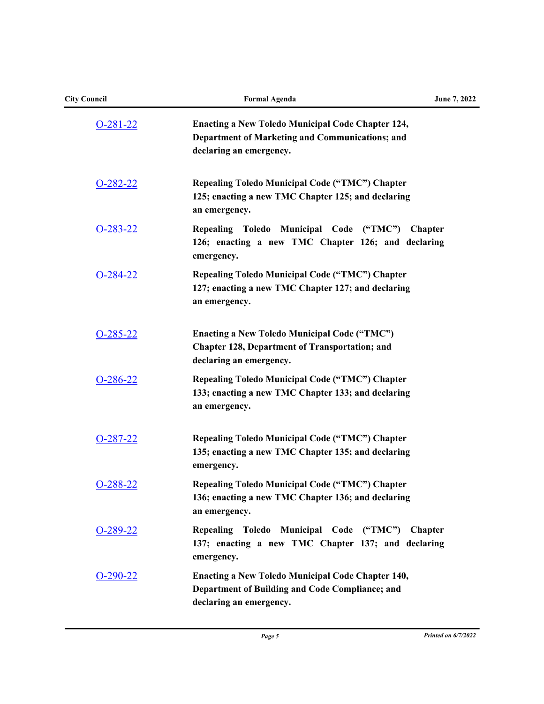| <b>City Council</b> | <b>Formal Agenda</b>                                                                                                                    | June 7, 2022   |
|---------------------|-----------------------------------------------------------------------------------------------------------------------------------------|----------------|
| $O-281-22$          | <b>Enacting a New Toledo Municipal Code Chapter 124,</b><br>Department of Marketing and Communications; and<br>declaring an emergency.  |                |
| $O-282-22$          | <b>Repealing Toledo Municipal Code ("TMC") Chapter</b><br>125; enacting a new TMC Chapter 125; and declaring<br>an emergency.           |                |
| $O-283-22$          | Toledo Municipal Code ("TMC")<br><b>Repealing</b><br>126; enacting a new TMC Chapter 126; and declaring<br>emergency.                   | <b>Chapter</b> |
| $O-284-22$          | <b>Repealing Toledo Municipal Code ("TMC") Chapter</b><br>127; enacting a new TMC Chapter 127; and declaring<br>an emergency.           |                |
| $O-285-22$          | <b>Enacting a New Toledo Municipal Code ("TMC")</b><br><b>Chapter 128, Department of Transportation; and</b><br>declaring an emergency. |                |
| $O-286-22$          | <b>Repealing Toledo Municipal Code ("TMC") Chapter</b><br>133; enacting a new TMC Chapter 133; and declaring<br>an emergency.           |                |
| $O-287-22$          | <b>Repealing Toledo Municipal Code ("TMC") Chapter</b><br>135; enacting a new TMC Chapter 135; and declaring<br>emergency.              |                |
| O-288-22            | <b>Repealing Toledo Municipal Code ("TMC") Chapter</b><br>136; enacting a new TMC Chapter 136; and declaring<br>an emergency.           |                |
| $O-289-22$          | Repealing Toledo Municipal Code ("TMC") Chapter<br>137; enacting a new TMC Chapter 137; and declaring<br>emergency.                     |                |
| $O-290-22$          | <b>Enacting a New Toledo Municipal Code Chapter 140,</b><br>Department of Building and Code Compliance; and<br>declaring an emergency.  |                |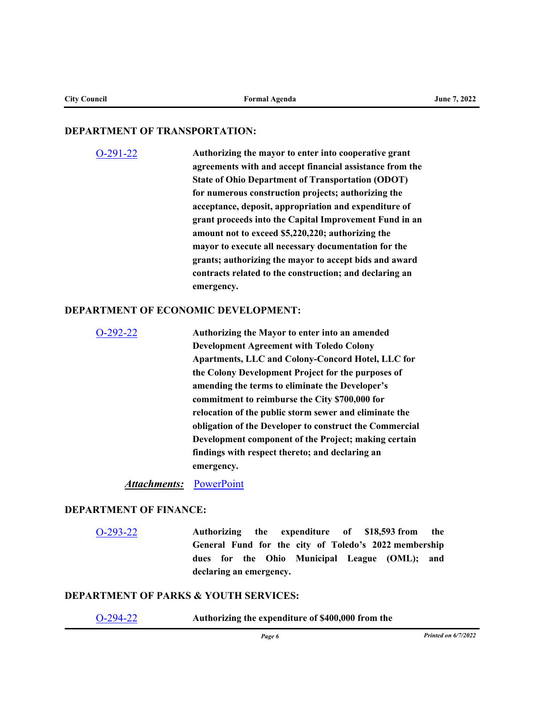#### **DEPARTMENT OF TRANSPORTATION:**

[O-291-22](http://toledo.legistar.com/gateway.aspx?m=l&id=/matter.aspx?key=37812) **Authorizing the mayor to enter into cooperative grant agreements with and accept financial assistance from the State of Ohio Department of Transportation (ODOT) for numerous construction projects; authorizing the acceptance, deposit, appropriation and expenditure of grant proceeds into the Capital Improvement Fund in an amount not to exceed \$5,220,220; authorizing the mayor to execute all necessary documentation for the grants; authorizing the mayor to accept bids and award contracts related to the construction; and declaring an emergency.**

### **DEPARTMENT OF ECONOMIC DEVELOPMENT:**

| $O-292-22$ | Authorizing the Mayor to enter into an amended          |
|------------|---------------------------------------------------------|
|            | <b>Development Agreement with Toledo Colony</b>         |
|            | Apartments, LLC and Colony-Concord Hotel, LLC for       |
|            | the Colony Development Project for the purposes of      |
|            | amending the terms to eliminate the Developer's         |
|            | commitment to reimburse the City \$700,000 for          |
|            | relocation of the public storm sewer and eliminate the  |
|            | obligation of the Developer to construct the Commercial |
|            | Development component of the Project; making certain    |
|            | findings with respect thereto; and declaring an         |
|            | emergency.                                              |
|            |                                                         |

*Attachments:* [PowerPoint](http://toledo.legistar.com/gateway.aspx?M=F&ID=72680f84-f2dc-48c3-aee6-ae9ebfa0451f.pptx)

#### **DEPARTMENT OF FINANCE:**

[O-293-22](http://toledo.legistar.com/gateway.aspx?m=l&id=/matter.aspx?key=37789) **Authorizing the expenditure of \$18,593 from the General Fund for the city of Toledo's 2022 membership dues for the Ohio Municipal League (OML); and declaring an emergency.**

#### **DEPARTMENT OF PARKS & YOUTH SERVICES:**

[O-294-22](http://toledo.legistar.com/gateway.aspx?m=l&id=/matter.aspx?key=37820) **Authorizing the expenditure of \$400,000 from the**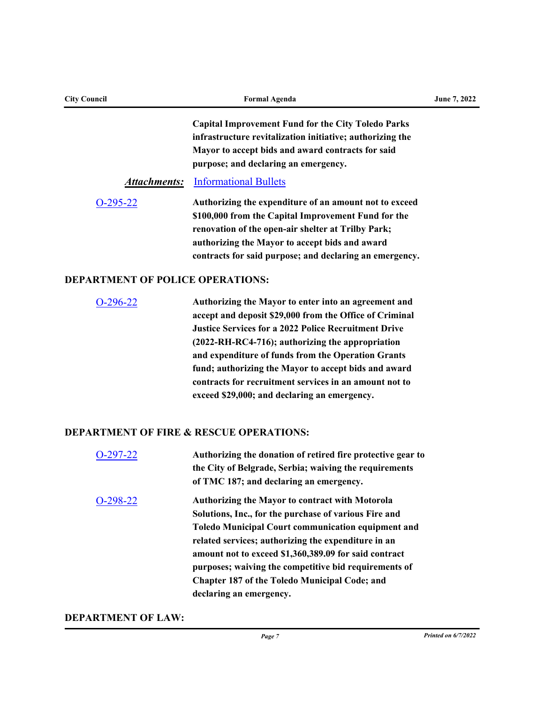| <b>City Council</b>                     | <b>Formal Agenda</b>                                        | June 7, 2022 |
|-----------------------------------------|-------------------------------------------------------------|--------------|
|                                         | <b>Capital Improvement Fund for the City Toledo Parks</b>   |              |
|                                         | infrastructure revitalization initiative; authorizing the   |              |
|                                         | Mayor to accept bids and award contracts for said           |              |
|                                         | purpose; and declaring an emergency.                        |              |
| <u>Attachments:</u>                     | <b>Informational Bullets</b>                                |              |
| $O-295-22$                              | Authorizing the expenditure of an amount not to exceed      |              |
|                                         | \$100,000 from the Capital Improvement Fund for the         |              |
|                                         | renovation of the open-air shelter at Trilby Park;          |              |
|                                         | authorizing the Mayor to accept bids and award              |              |
|                                         | contracts for said purpose; and declaring an emergency.     |              |
| <b>DEPARTMENT OF POLICE OPERATIONS:</b> |                                                             |              |
| $O-296-22$                              | Authorizing the Mayor to enter into an agreement and        |              |
|                                         | accept and deposit \$29,000 from the Office of Criminal     |              |
|                                         | <b>Justice Services for a 2022 Police Recruitment Drive</b> |              |
|                                         | (2022-RH-RC4-716); authorizing the appropriation            |              |
|                                         | and expenditure of funds from the Operation Grants          |              |
|                                         | fund; authorizing the Mayor to accept bids and award        |              |
|                                         | contracts for recruitment services in an amount not to      |              |
|                                         | exceed \$29,000; and declaring an emergency.                |              |
|                                         | <b>DEPARTMENT OF FIRE &amp; RESCUE OPERATIONS:</b>          |              |
| $O-297-22$                              | Authorizing the donation of retired fire protective gear to |              |
|                                         | the City of Belgrade, Serbia; waiving the requirements      |              |

# **of TMC 187; and declaring an emergency.** [O-298-22](http://toledo.legistar.com/gateway.aspx?m=l&id=/matter.aspx?key=37824) **Authorizing the Mayor to contract with Motorola Solutions, Inc., for the purchase of various Fire and Toledo Municipal Court communication equipment and related services; authorizing the expenditure in an amount not to exceed \$1,360,389.09 for said contract purposes; waiving the competitive bid requirements of Chapter 187 of the Toledo Municipal Code; and declaring an emergency.**

## **DEPARTMENT OF LAW:**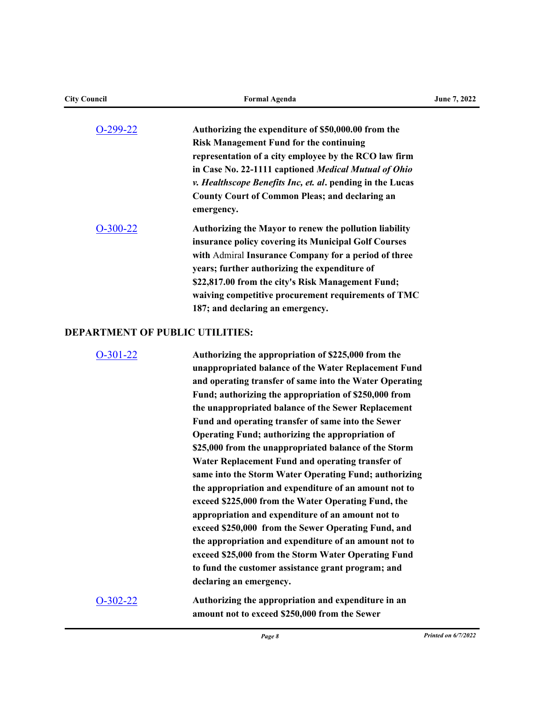| <b>City Council</b>                    | <b>Formal Agenda</b>                                                                                  | <b>June 7, 2022</b> |
|----------------------------------------|-------------------------------------------------------------------------------------------------------|---------------------|
| O-299-22                               | Authorizing the expenditure of \$50,000.00 from the<br><b>Risk Management Fund for the continuing</b> |                     |
|                                        | representation of a city employee by the RCO law firm                                                 |                     |
|                                        | in Case No. 22-1111 captioned Medical Mutual of Ohio                                                  |                     |
|                                        | <i>v. Healthscope Benefits Inc, et. al.</i> pending in the Lucas                                      |                     |
|                                        | <b>County Court of Common Pleas; and declaring an</b><br>emergency.                                   |                     |
| $O-300-22$                             | Authorizing the Mayor to renew the pollution liability                                                |                     |
|                                        | insurance policy covering its Municipal Golf Courses                                                  |                     |
|                                        | with Admiral Insurance Company for a period of three                                                  |                     |
|                                        | years; further authorizing the expenditure of                                                         |                     |
|                                        | \$22,817.00 from the city's Risk Management Fund;                                                     |                     |
|                                        | waiving competitive procurement requirements of TMC                                                   |                     |
|                                        | 187; and declaring an emergency.                                                                      |                     |
| <b>DEPARTMENT OF PUBLIC UTILITIES:</b> |                                                                                                       |                     |
|                                        |                                                                                                       |                     |

## [O-301-22](http://toledo.legistar.com/gateway.aspx?m=l&id=/matter.aspx?key=37791) **Authorizing the appropriation of \$225,000 from the unappropriated balance of the Water Replacement Fund and operating transfer of same into the Water Operating Fund; authorizing the appropriation of \$250,000 from the unappropriated balance of the Sewer Replacement Fund and operating transfer of same into the Sewer Operating Fund; authorizing the appropriation of \$25,000 from the unappropriated balance of the Storm Water Replacement Fund and operating transfer of same into the Storm Water Operating Fund; authorizing the appropriation and expenditure of an amount not to exceed \$225,000 from the Water Operating Fund, the appropriation and expenditure of an amount not to exceed \$250,000 from the Sewer Operating Fund, and the appropriation and expenditure of an amount not to exceed \$25,000 from the Storm Water Operating Fund to fund the customer assistance grant program; and declaring an emergency.**

[O-302-22](http://toledo.legistar.com/gateway.aspx?m=l&id=/matter.aspx?key=37815) **Authorizing the appropriation and expenditure in an amount not to exceed \$250,000 from the Sewer**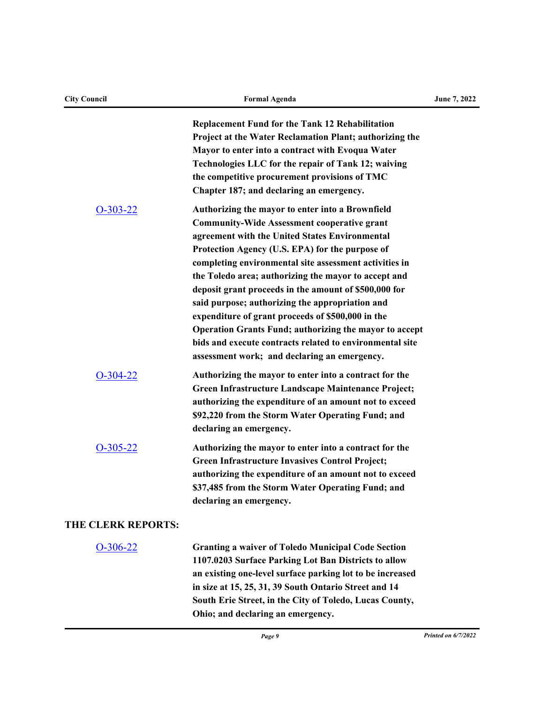| <b>City Council</b>       | <b>Formal Agenda</b>                                                                                                                                                                                                                                                                                                                                                                                                                                                                                                                                                                                                                                                        | June 7, 2022 |
|---------------------------|-----------------------------------------------------------------------------------------------------------------------------------------------------------------------------------------------------------------------------------------------------------------------------------------------------------------------------------------------------------------------------------------------------------------------------------------------------------------------------------------------------------------------------------------------------------------------------------------------------------------------------------------------------------------------------|--------------|
|                           | <b>Replacement Fund for the Tank 12 Rehabilitation</b><br>Project at the Water Reclamation Plant; authorizing the<br>Mayor to enter into a contract with Evoqua Water<br>Technologies LLC for the repair of Tank 12; waiving<br>the competitive procurement provisions of TMC<br>Chapter 187; and declaring an emergency.                                                                                                                                                                                                                                                                                                                                                   |              |
| $O-303-22$                | Authorizing the mayor to enter into a Brownfield<br><b>Community-Wide Assessment cooperative grant</b><br>agreement with the United States Environmental<br>Protection Agency (U.S. EPA) for the purpose of<br>completing environmental site assessment activities in<br>the Toledo area; authorizing the mayor to accept and<br>deposit grant proceeds in the amount of \$500,000 for<br>said purpose; authorizing the appropriation and<br>expenditure of grant proceeds of \$500,000 in the<br><b>Operation Grants Fund; authorizing the mayor to accept</b><br>bids and execute contracts related to environmental site<br>assessment work; and declaring an emergency. |              |
| $O-304-22$                | Authorizing the mayor to enter into a contract for the<br>Green Infrastructure Landscape Maintenance Project;<br>authorizing the expenditure of an amount not to exceed<br>\$92,220 from the Storm Water Operating Fund; and<br>declaring an emergency.                                                                                                                                                                                                                                                                                                                                                                                                                     |              |
| $O-305-22$                | Authorizing the mayor to enter into a contract for the<br><b>Green Infrastructure Invasives Control Project;</b><br>authorizing the expenditure of an amount not to exceed<br>\$37,485 from the Storm Water Operating Fund; and<br>declaring an emergency.                                                                                                                                                                                                                                                                                                                                                                                                                  |              |
| <b>THE CLERK REPORTS:</b> |                                                                                                                                                                                                                                                                                                                                                                                                                                                                                                                                                                                                                                                                             |              |
| $O-306-22$                | <b>Granting a waiver of Toledo Municipal Code Section</b><br>1107.0203 Surface Parking Lot Ban Districts to allow<br>an existing one-level surface parking lot to be increased<br>in size at 15, 25, 31, 39 South Ontario Street and 14<br>South Erie Street, in the City of Toledo, Lucas County,<br>Ohio; and declaring an emergency.                                                                                                                                                                                                                                                                                                                                     |              |